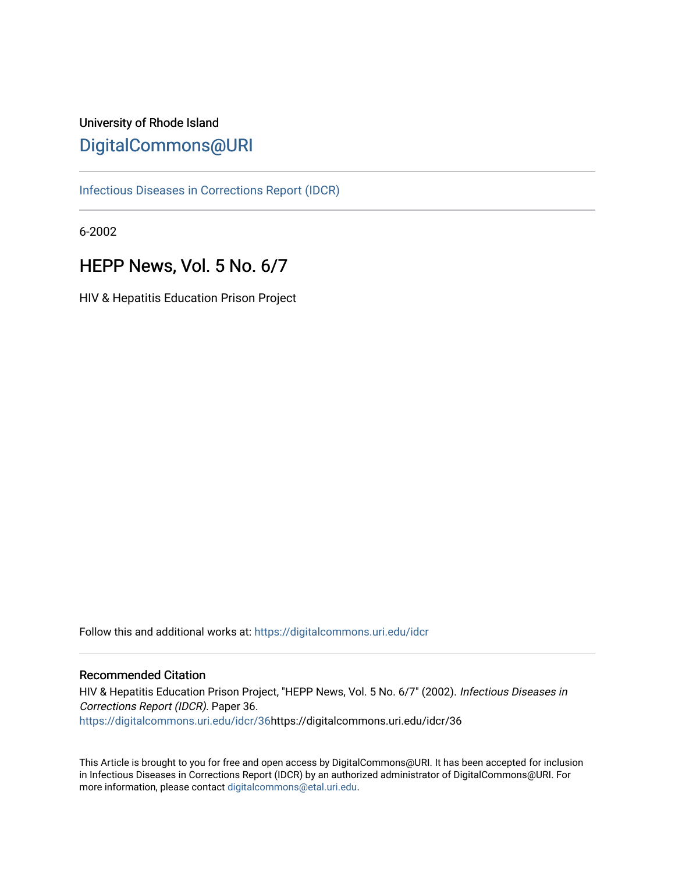# University of Rhode Island [DigitalCommons@URI](https://digitalcommons.uri.edu/)

[Infectious Diseases in Corrections Report \(IDCR\)](https://digitalcommons.uri.edu/idcr)

6-2002

# HEPP News, Vol. 5 No. 6/7

HIV & Hepatitis Education Prison Project

Follow this and additional works at: [https://digitalcommons.uri.edu/idcr](https://digitalcommons.uri.edu/idcr?utm_source=digitalcommons.uri.edu%2Fidcr%2F36&utm_medium=PDF&utm_campaign=PDFCoverPages)

## Recommended Citation

HIV & Hepatitis Education Prison Project, "HEPP News, Vol. 5 No. 6/7" (2002). Infectious Diseases in Corrections Report (IDCR). Paper 36. [https://digitalcommons.uri.edu/idcr/36h](https://digitalcommons.uri.edu/idcr/36?utm_source=digitalcommons.uri.edu%2Fidcr%2F36&utm_medium=PDF&utm_campaign=PDFCoverPages)ttps://digitalcommons.uri.edu/idcr/36

This Article is brought to you for free and open access by DigitalCommons@URI. It has been accepted for inclusion in Infectious Diseases in Corrections Report (IDCR) by an authorized administrator of DigitalCommons@URI. For more information, please contact [digitalcommons@etal.uri.edu.](mailto:digitalcommons@etal.uri.edu)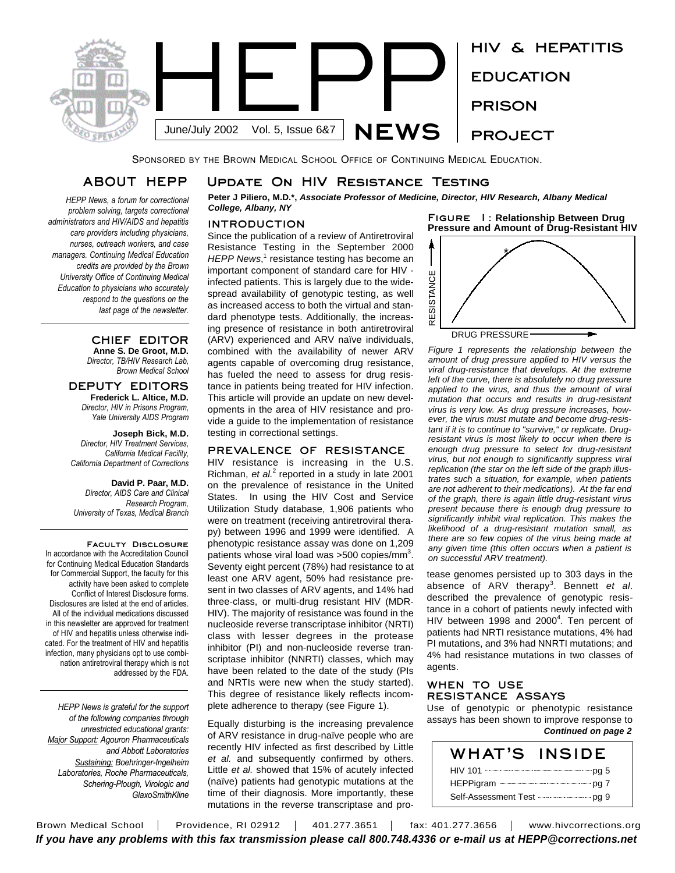

SPONSORED BY THE BROWN MEDICAL SCHOOL OFFICE OF CONTINUING MEDICAL EDUCATION.

## **ABOUT HEPP**

*HEPP News, a forum for correctional problem solving, targets correctional administrators and HIV/AIDS and hepatitis care providers including physicians, nurses, outreach workers, and case managers. Continuing Medical Education credits are provided by the Brown University Office of Continuing Medical Education to physicians who accurately respond to the questions on the last page of the newsletter.* 

### **CHIEF EDITOR Anne S. De Groot, M.D.** *Director, TB/HIV Research Lab,*

*Brown Medical School*

### **DEPUTY EDITORS Frederick L. Altice, M.D.** *Director, HIV in Prisons Program,*

*Yale University AIDS Program*

**Joseph Bick, M.D.** *Director, HIV Treatment Services, California Medical Facility, California Department of Corrections*

### **David P. Paar, M.D.** *Director, AIDS Care and Clinical Research Program, University of Texas, Medical Branch*

**Faculty Disclosure** In accordance with the Accreditation Council for Continuing Medical Education Standards for Commercial Support, the faculty for this activity have been asked to complete Conflict of Interest Disclosure forms. Disclosures are listed at the end of articles. All of the individual medications discussed in this newsletter are approved for treatment of HIV and hepatitis unless otherwise indicated. For the treatment of HIV and hepatitis infection, many physicians opt to use combination antiretroviral therapy which is not addressed by the FDA.

*HEPP News is grateful for the support of the following companies through unrestricted educational grants: Major Support: Agouron Pharmaceuticals and Abbott Laboratories Sustaining: Boehringer-Ingelheim Laboratories, Roche Pharmaceuticals, Schering-Plough, Virologic and GlaxoSmithKline*

## **Update On HIV Resistance Testing**

**Peter J Piliero, M.D.\*,** *Associate Professor of Medicine, Director, HIV Research, Albany Medical College, Albany, NY*

### **INTRODUCTION**

Since the publication of a review of Antiretroviral Resistance Testing in the September 2000 HEPP News,<sup>1</sup> resistance testing has become an important component of standard care for HIV infected patients. This is largely due to the widespread availability of genotypic testing, as well as increased access to both the virtual and standard phenotype tests. Additionally, the increasing presence of resistance in both antiretroviral (ARV) experienced and ARV naïve individuals, combined with the availability of newer ARV agents capable of overcoming drug resistance, has fueled the need to assess for drug resistance in patients being treated for HIV infection. This article will provide an update on new developments in the area of HIV resistance and provide a guide to the implementation of resistance testing in correctional settings.

### **PREVALENCE OF RESISTANCE**

HIV resistance is increasing in the U.S. Richman, et al.<sup>2</sup> reported in a study in late 2001 on the prevalence of resistance in the United States. In using the HIV Cost and Service Utilization Study database, 1,906 patients who were on treatment (receiving antiretroviral therapy) between 1996 and 1999 were identified. A phenotypic resistance assay was done on 1,209 patients whose viral load was >500 copies/mm<sup>3</sup>. Seventy eight percent (78%) had resistance to at least one ARV agent, 50% had resistance present in two classes of ARV agents, and 14% had three-class, or multi-drug resistant HIV (MDR-HIV). The majority of resistance was found in the nucleoside reverse transcriptase inhibitor (NRTI) class with lesser degrees in the protease inhibitor (PI) and non-nucleoside reverse transcriptase inhibitor (NNRTI) classes, which may have been related to the date of the study (PIs and NRTIs were new when the study started). This degree of resistance likely reflects incomplete adherence to therapy (see Figure 1).

Equally disturbing is the increasing prevalence of ARV resistance in drug-naïve people who are recently HIV infected as first described by Little *et al.* and subsequently confirmed by others. Little *et al.* showed that 15% of acutely infected (naïve) patients had genotypic mutations at the time of their diagnosis. More importantly, these mutations in the reverse transcriptase and pro**Figure 1: Relationship Between Drug Pressure and Amount of Drug-Resistant HIV**



*Figure 1 represents the relationship between the amount of drug pressure applied to HIV versus the viral drug-resistance that develops. At the extreme left of the curve, there is absolutely no drug pressure applied to the virus, and thus the amount of viral mutation that occurs and results in drug-resistant virus is very low. As drug pressure increases, however, the virus must mutate and become drug-resistant if it is to continue to "survive," or replicate. Drugresistant virus is most likely to occur when there is enough drug pressure to select for drug-resistant virus, but not enough to significantly suppress viral replication (the star on the left side of the graph illustrates such a situation, for example, when patients are not adherent to their medications). At the far end of the graph, there is again little drug-resistant virus present because there is enough drug pressure to significantly inhibit viral replication. This makes the likelihood of a drug-resistant mutation small, as there are so few copies of the virus being made at any given time (this often occurs when a patient is on successful ARV treatment).*

tease genomes persisted up to 303 days in the absence of ARV therapy 3 . Bennett *et al*. described the prevalence of genotypic resistance in a cohort of patients newly infected with HIV between 1998 and 2000<sup>4</sup>. Ten percent of patients had NRTI resistance mutations, 4% had PI mutations, and 3% had NNRTI mutations; and 4% had resistance mutations in two classes of agents.

### **WHEN TO USE RESISTANCE ASSAYS**

Use of genotypic or phenotypic resistance assays has been shown to improve response to *Continued on page 2*

| WHAT'S                                            | <b>INSIDE</b> |
|---------------------------------------------------|---------------|
|                                                   |               |
|                                                   |               |
| Self-Assessment Test ----------------------- pg 9 |               |

Brown Medical School | Providence, RI 02912 | 401.277.3651 | fax: 401.277.3656 | www.hivcorrections.org *If you have any problems with this fax transmission please call 800.748.4336 or e-mail us at HEPP@corrections.net*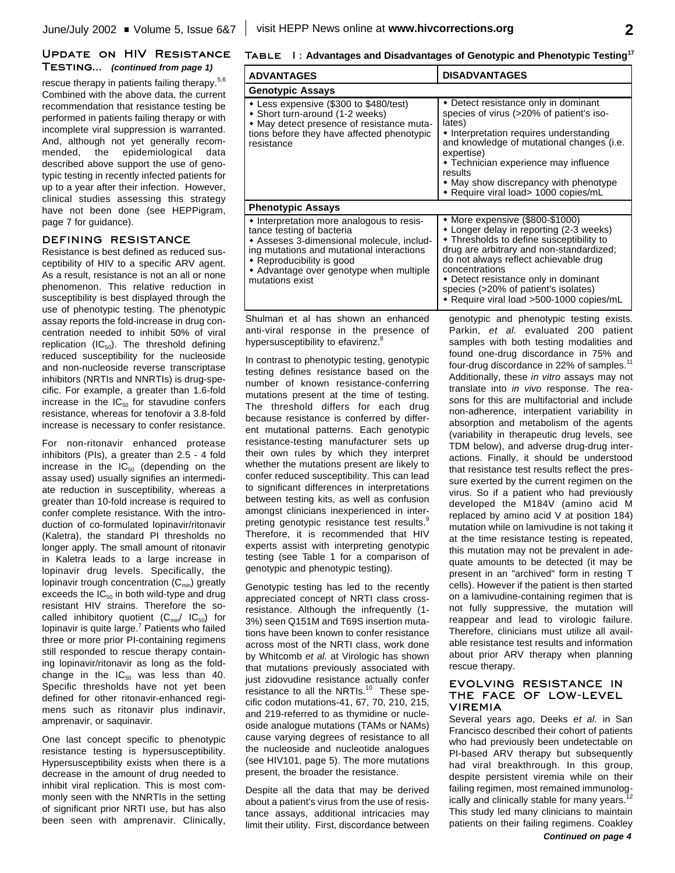### **Update on HIV Resistance Testing...** *(continued from page 1)*

rescue therapy in patients failing therapy.<sup>5,6</sup> Combined with the above data, the current recommendation that resistance testing be performed in patients failing therapy or with incomplete viral suppression is warranted. And, although not yet generally recommended, the epidemiological data described above support the use of genotypic testing in recently infected patients for up to a year after their infection. However, clinical studies assessing this strategy have not been done (see HEPPigram, page 7 for guidance).

### **DEFINING RESISTANCE**

Resistance is best defined as reduced susceptibility of HIV to a specific ARV agent. As a result, resistance is not an all or none phenomenon. This relative reduction in susceptibility is best displayed through the use of phenotypic testing. The phenotypic assay reports the fold-increase in drug concentration needed to inhibit 50% of viral replication (IC $_{50}$ ). The threshold defining reduced susceptibility for the nucleoside and non-nucleoside reverse transcriptase inhibitors (NRTIs and NNRTIs) is drug-specific. For example, a greater than 1.6-fold increase in the  $IC_{50}$  for stavudine confers resistance, whereas for tenofovir a 3.8-fold increase is necessary to confer resistance.

For non-ritonavir enhanced protease inhibitors (PIs), a greater than 2.5 - 4 fold increase in the  $IC_{50}$  (depending on the assay used) usually signifies an intermediate reduction in susceptibility, whereas a greater than 10-fold increase is required to confer complete resistance. With the introduction of co-formulated lopinavir/ritonavir (Kaletra), the standard PI thresholds no longer apply. The small amount of ritonavir in Kaletra leads to a large increase in lopinavir drug levels. Specifically, the lopinavir trough concentration  $(C_{min})$  greatly exceeds the IC $_{50}$  in both wild-type and drug resistant HIV strains. Therefore the socalled inhibitory quotient  $(C_{min}/C_{50})$  for lopinavir is quite large.<sup>7</sup> Patients who failed three or more prior PI-containing regimens still responded to rescue therapy containing lopinavir/ritonavir as long as the foldchange in the  $IC_{50}$  was less than 40. Specific thresholds have not yet been defined for other ritonavir-enhanced regimens such as ritonavir plus indinavir, amprenavir, or saquinavir.

One last concept specific to phenotypic resistance testing is hypersusceptibility. Hypersusceptibility exists when there is a decrease in the amount of drug needed to inhibit viral replication. This is most commonly seen with the NNRTIs in the setting of significant prior NRTI use, but has also been seen with amprenavir. Clinically,

### **Table 1: Advantages and Disadvantages of Genotypic and Phenotypic Testing 17**

| <b>ADVANTAGES</b>                                                                                                                                                                                                                                           | <b>DISADVANTAGES</b>                                                                                                                                                                                                                                                                                                                                      |  |
|-------------------------------------------------------------------------------------------------------------------------------------------------------------------------------------------------------------------------------------------------------------|-----------------------------------------------------------------------------------------------------------------------------------------------------------------------------------------------------------------------------------------------------------------------------------------------------------------------------------------------------------|--|
| <b>Genotypic Assays</b>                                                                                                                                                                                                                                     |                                                                                                                                                                                                                                                                                                                                                           |  |
| • Less expensive (\$300 to \$480/test)<br>• Short turn-around (1-2 weeks)<br>• May detect presence of resistance muta-<br>tions before they have affected phenotypic<br>resistance                                                                          | • Detect resistance only in dominant<br>species of virus (>20% of patient's iso-<br>lates)<br>• Interpretation requires understanding<br>and knowledge of mutational changes (i.e.<br>expertise)<br>• Technician experience may influence<br>results<br>• May show discrepancy with phenotype<br>• Require viral load> 1000 copies/mL                     |  |
| <b>Phenotypic Assays</b>                                                                                                                                                                                                                                    |                                                                                                                                                                                                                                                                                                                                                           |  |
| • Interpretation more analogous to resis-<br>tance testing of bacteria<br>◆ Asseses 3-dimensional molecule, includ-<br>ing mutations and mutational interactions<br>• Reproducibility is good<br>• Advantage over genotype when multiple<br>mutations exist | • More expensive (\$800-\$1000)<br>* Longer delay in reporting (2-3 weeks)<br>• Thresholds to define susceptibility to<br>drug are arbitrary and non-standardized;<br>do not always reflect achievable drug<br>concentrations<br>• Detect resistance only in dominant<br>species (>20% of patient's isolates)<br>* Require viral load >500-1000 copies/mL |  |

Shulman et al has shown an enhanced anti-viral response in the presence of hypersusceptibility to efavirenz.<sup>8</sup>

In contrast to phenotypic testing, genotypic testing defines resistance based on the number of known resistance-conferring mutations present at the time of testing. The threshold differs for each drug because resistance is conferred by different mutational patterns. Each genotypic resistance-testing manufacturer sets up their own rules by which they interpret whether the mutations present are likely to confer reduced susceptibility. This can lead to significant differences in interpretations between testing kits, as well as confusion amongst clinicians inexperienced in interpreting genotypic resistance test results.<sup>9</sup> Therefore, it is recommended that HIV experts assist with interpreting genotypic testing (see Table 1 for a comparison of genotypic and phenotypic testing).

Genotypic testing has led to the recently appreciated concept of NRTI class crossresistance. Although the infrequently (1- 3%) seen Q151M and T69S insertion mutations have been known to confer resistance across most of the NRTI class, work done by Whitcomb *et al.* at Virologic has shown that mutations previously associated with just zidovudine resistance actually confer resistance to all the NRTIs.<sup>10</sup> These specific codon mutations-41, 67, 70, 210, 215, and 219-referred to as thymidine or nucleoside analogue mutations (TAMs or NAMs) cause varying degrees of resistance to all the nucleoside and nucleotide analogues (see HIV101, page 5). The more mutations present, the broader the resistance.

Despite all the data that may be derived about a patient's virus from the use of resistance assays, additional intricacies may limit their utility. First, discordance between

genotypic and phenotypic testing exists. Parkin, *et al.* evaluated 200 patient samples with both testing modalities and found one-drug discordance in 75% and four-drug discordance in 22% of samples.<sup>11</sup> Additionally, these *in vitro* assays may not translate into *in vivo* response. The reasons for this are multifactorial and include non-adherence, interpatient variability in absorption and metabolism of the agents (variability in therapeutic drug levels, see TDM below), and adverse drug-drug interactions. Finally, it should be understood that resistance test results reflect the pressure exerted by the current regimen on the virus. So if a patient who had previously developed the M184V (amino acid M replaced by amino acid V at position 184) mutation while on lamivudine is not taking it at the time resistance testing is repeated, this mutation may not be prevalent in adequate amounts to be detected (it may be present in an "archived" form in resting T cells). However if the patient is then started on a lamivudine-containing regimen that is not fully suppressive, the mutation will reappear and lead to virologic failure. Therefore, clinicians must utilize all available resistance test results and information about prior ARV therapy when planning rescue therapy.

### **EVOLVING RESISTANCE IN THE FACE OF LOW-LEVEL VIREMIA**

Several years ago, Deeks *et al.* in San Francisco described their cohort of patients who had previously been undetectable on PI-based ARV therapy but subsequently had viral breakthrough. In this group, despite persistent viremia while on their failing regimen, most remained immunologically and clinically stable for many years. 12 This study led many clinicians to maintain patients on their failing regimens. Coakley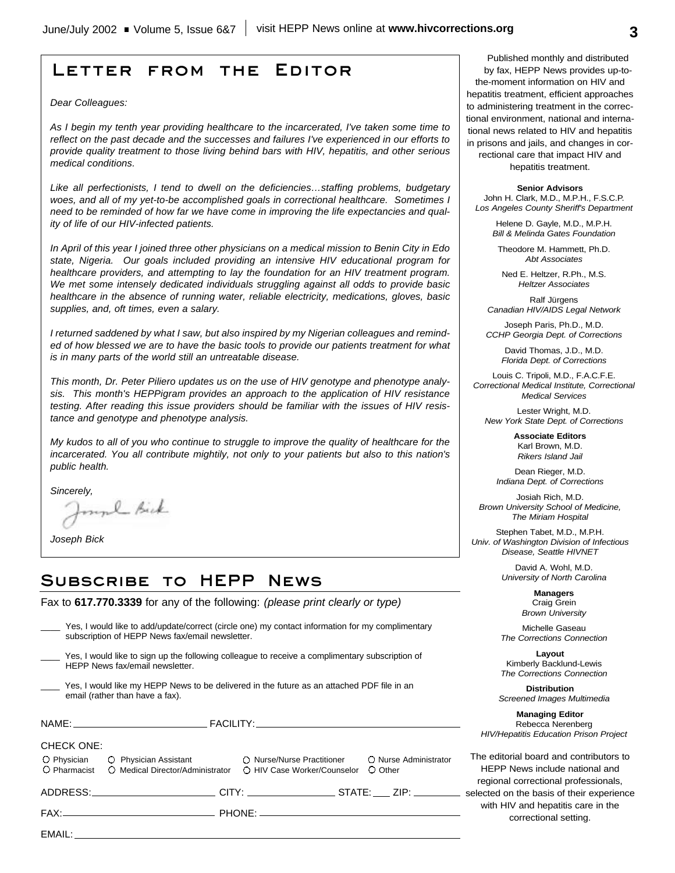# **Letter from the Editor**

*Dear Colleagues:*

*As I begin my tenth year providing healthcare to the incarcerated, I've taken some time to reflect on the past decade and the successes and failures I've experienced in our efforts to provide quality treatment to those living behind bars with HIV, hepatitis, and other serious medical conditions.*

*Like all perfectionists, I tend to dwell on the deficiencies…staffing problems, budgetary woes, and all of my yet-to-be accomplished goals in correctional healthcare. Sometimes I need to be reminded of how far we have come in improving the life expectancies and quality of life of our HIV-infected patients.*

*In April of this year I joined three other physicians on a medical mission to Benin City in Edo state, Nigeria. Our goals included providing an intensive HIV educational program for healthcare providers, and attempting to lay the foundation for an HIV treatment program. We met some intensely dedicated individuals struggling against all odds to provide basic healthcare in the absence of running water, reliable electricity, medications, gloves, basic supplies, and, oft times, even a salary.* 

*I returned saddened by what I saw, but also inspired by my Nigerian colleagues and reminded of how blessed we are to have the basic tools to provide our patients treatment for what is in many parts of the world still an untreatable disease.*

*This month, Dr. Peter Piliero updates us on the use of HIV genotype and phenotype analysis. This month's HEPPigram provides an approach to the application of HIV resistance testing. After reading this issue providers should be familiar with the issues of HIV resistance and genotype and phenotype analysis.*

*My kudos to all of you who continue to struggle to improve the quality of healthcare for the incarcerated. You all contribute mightily, not only to your patients but also to this nation's public health.*

*Sincerely,*

munh Bick

*Joseph Bick*

# **Subscribe to HEPP News**

Fax to **617.770.3339** for any of the following: *(please print clearly or type)*

| Yes, I would like to add/update/correct (circle one) my contact information for my complimentary |  |
|--------------------------------------------------------------------------------------------------|--|
| subscription of HEPP News fax/email newsletter.                                                  |  |
|                                                                                                  |  |

- Yes, I would like to sign up the following colleague to receive a complimentary subscription of HEPP News fax/email newsletter.
- Yes, I would like my HEPP News to be delivered in the future as an attached PDF file in an email (rather than have a fax).

|                   |                                                                                                                                                                         |  | F                     |
|-------------------|-------------------------------------------------------------------------------------------------------------------------------------------------------------------------|--|-----------------------|
| <b>CHECK ONE:</b> | O Physician C Physician Assistant C Nurse/Nurse Practitioner C Nurse Administrator<br>O Pharmacist C Medical Director/Administrator C HIV Case Worker/Counselor O Other |  | The<br>$\overline{1}$ |
|                   | ADDRESS: _________________________CITY: ____________________STATE: _____ ZIP: ____________ selec                                                                        |  | re                    |
|                   |                                                                                                                                                                         |  | V                     |
|                   |                                                                                                                                                                         |  |                       |

Published monthly and distributed by fax, HEPP News provides up-tothe-moment information on HIV and hepatitis treatment, efficient approaches to administering treatment in the correctional environment, national and international news related to HIV and hepatitis in prisons and jails, and changes in correctional care that impact HIV and hepatitis treatment.

#### **Senior Advisors**

John H. Clark, M.D., M.P.H., F.S.C.P. *Los Angeles County Sheriff's Department*

> Helene D. Gayle, M.D., M.P.H. *Bill & Melinda Gates Foundation*

Theodore M. Hammett, Ph.D. *Abt Associates*

Ned E. Heltzer, R.Ph., M.S. *Heltzer Associates*

Ralf Jürgens *Canadian HIV/AIDS Legal Network*

Joseph Paris, Ph.D., M.D. *CCHP Georgia Dept. of Corrections*

> David Thomas, J.D., M.D. *Florida Dept. of Corrections*

Louis C. Tripoli, M.D., F.A.C.F.E. *Correctional Medical Institute, Correctional Medical Services*

Lester Wright, M.D. *New York State Dept. of Corrections*

> **Associate Editors** Karl Brown, M.D. *Rikers Island Jail*

Dean Rieger, M.D. *Indiana Dept. of Corrections*

Josiah Rich, M.D. *Brown University School of Medicine, The Miriam Hospital*

Stephen Tabet, M.D., M.P.H. *Univ. of Washington Division of Infectious Disease, Seattle HIVNET*

> David A. Wohl, M.D. *University of North Carolina*

> > **Managers** Craig Grein *Brown University*

Michelle Gaseau *The Corrections Connection*

**Layout** Kimberly Backlund-Lewis *The Corrections Connection*

**Distribution** *Screened Images Multimedia*

**Managing Editor** Rebecca Nerenberg *HIV/Hepatitis Education Prison Project*

e editorial board and contributors to HEPP News include national and gional correctional professionals, cted on the basis of their experience with HIV and hepatitis care in the correctional setting.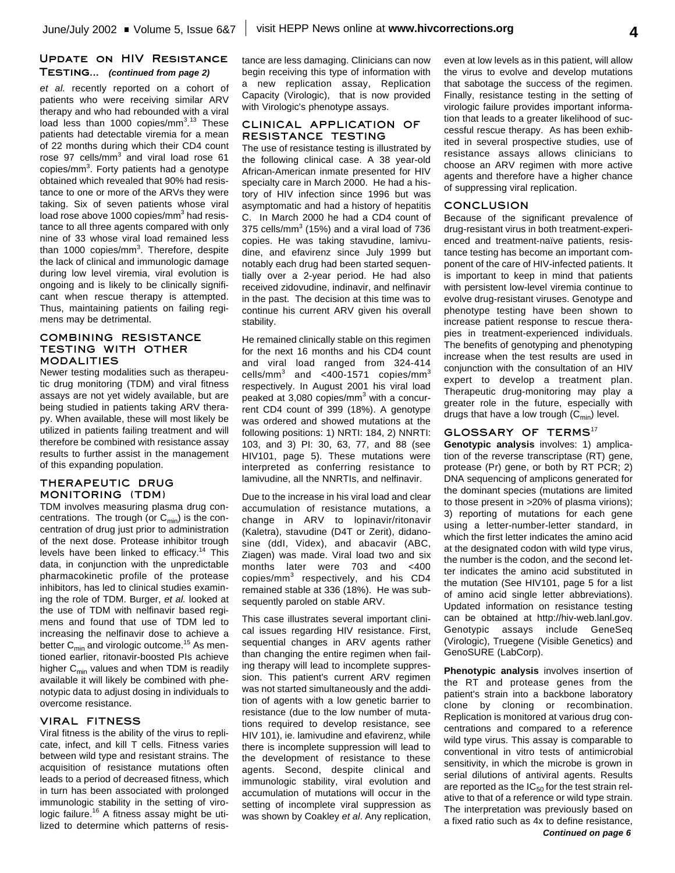### **Update on HIV Resistance Testing...** *(continued from page 2)*

*et al.* recently reported on a cohort of patients who were receiving similar ARV therapy and who had rebounded with a viral load less than 1000 copies/mm<sup>3</sup>.<sup>13</sup> These patients had detectable viremia for a mean of 22 months during which their CD4 count rose 97 cells/mm<sup>3</sup> and viral load rose 61 copies/mm<sup>3</sup>. Forty patients had a genotype obtained which revealed that 90% had resistance to one or more of the ARVs they were taking. Six of seven patients whose viral load rose above 1000 copies/mm<sup>3</sup> had resistance to all three agents compared with only nine of 33 whose viral load remained less than 1000 copies/mm<sup>3</sup>. Therefore, despite the lack of clinical and immunologic damage during low level viremia, viral evolution is ongoing and is likely to be clinically significant when rescue therapy is attempted. Thus, maintaining patients on failing regimens may be detrimental.

### **COMBINING RESISTANCE TESTING WITH OTHER MODALITIES**

Newer testing modalities such as therapeutic drug monitoring (TDM) and viral fitness assays are not yet widely available, but are being studied in patients taking ARV therapy. When available, these will most likely be utilized in patients failing treatment and will therefore be combined with resistance assay results to further assist in the management of this expanding population.

### **THERAPEUTIC DRUG MONITORING (TDM)**

TDM involves measuring plasma drug concentrations. The trough (or C<sub>min</sub>) is the concentration of drug just prior to administration of the next dose. Protease inhibitor trough levels have been linked to efficacy.<sup>14</sup> This data, in conjunction with the unpredictable pharmacokinetic profile of the protease inhibitors, has led to clinical studies examining the role of TDM. Burger, *et al.* looked at the use of TDM with nelfinavir based regimens and found that use of TDM led to increasing the nelfinavir dose to achieve a better  $\mathtt{C}_{\sf min}$  and virologic outcome. $^{15}$  As mentioned earlier, ritonavir-boosted PIs achieve higher  $C_{\text{min}}$  values and when TDM is readily available it will likely be combined with phenotypic data to adjust dosing in individuals to overcome resistance.

### **VIRAL FITNESS**

Viral fitness is the ability of the virus to replicate, infect, and kill T cells. Fitness varies between wild type and resistant strains. The acquisition of resistance mutations often leads to a period of decreased fitness, which in turn has been associated with prolonged immunologic stability in the setting of virologic failure.<sup>16</sup> A fitness assay might be utilized to determine which patterns of resistance are less damaging. Clinicians can now begin receiving this type of information with a new replication assay, Replication Capacity (Virologic), that is now provided with Virologic's phenotype assays.

### **CLINICAL APPLICATION OF RESISTANCE TESTING**

The use of resistance testing is illustrated by the following clinical case. A 38 year-old African-American inmate presented for HIV specialty care in March 2000. He had a history of HIV infection since 1996 but was asymptomatic and had a history of hepatitis C. In March 2000 he had a CD4 count of 375 cells/mm $^3$  (15%) and a viral load of 736 copies. He was taking stavudine, lamivudine, and efavirenz since July 1999 but notably each drug had been started sequentially over a 2-year period. He had also received zidovudine, indinavir, and nelfinavir in the past. The decision at this time was to continue his current ARV given his overall stability.

He remained clinically stable on this regimen for the next 16 months and his CD4 count and viral load ranged from 324-414 cells/mm $^3$  and <400-1571 copies/mm $^3$ respectively. In August 2001 his viral load peaked at 3,080 copies/mm<sup>3</sup> with a concurrent CD4 count of 399 (18%). A genotype was ordered and showed mutations at the following positions: 1) NRTI: 184, 2) NNRTI: 103, and 3) PI: 30, 63, 77, and 88 (see HIV101, page 5). These mutations were interpreted as conferring resistance to lamivudine, all the NNRTIs, and nelfinavir.

Due to the increase in his viral load and clear accumulation of resistance mutations, a change in ARV to lopinavir/ritonavir (Kaletra), stavudine (D4T or Zerit), didanosine (ddI, Videx), and abacavir (ABC, Ziagen) was made. Viral load two and six months later were 703 and <400 copies/mm<sup>3</sup> respectively, and his CD4 remained stable at 336 (18%). He was subsequently paroled on stable ARV.

This case illustrates several important clinical issues regarding HIV resistance. First, sequential changes in ARV agents rather than changing the entire regimen when failing therapy will lead to incomplete suppression. This patient's current ARV regimen was not started simultaneously and the addition of agents with a low genetic barrier to resistance (due to the low number of mutations required to develop resistance, see HIV 101), ie. lamivudine and efavirenz, while there is incomplete suppression will lead to the development of resistance to these agents. Second, despite clinical and immunologic stability, viral evolution and accumulation of mutations will occur in the setting of incomplete viral suppression as was shown by Coakley *et al*. Any replication, even at low levels as in this patient, will allow the virus to evolve and develop mutations that sabotage the success of the regimen. Finally, resistance testing in the setting of virologic failure provides important information that leads to a greater likelihood of successful rescue therapy. As has been exhibited in several prospective studies, use of resistance assays allows clinicians to choose an ARV regimen with more active agents and therefore have a higher chance of suppressing viral replication.

### **CONCLUSION**

Because of the significant prevalence of drug-resistant virus in both treatment-experienced and treatment-naïve patients, resistance testing has become an important component of the care of HIV-infected patients. It is important to keep in mind that patients with persistent low-level viremia continue to evolve drug-resistant viruses. Genotype and phenotype testing have been shown to increase patient response to rescue therapies in treatment-experienced individuals. The benefits of genotyping and phenotyping increase when the test results are used in conjunction with the consultation of an HIV expert to develop a treatment plan. Therapeutic drug-monitoring may play a greater role in the future, especially with drugs that have a low trough (C<sub>min</sub>) level.

### **GLOSSARY OF TERMS** 17

**Genotypic analysis** involves: 1) amplication of the reverse transcriptase (RT) gene, protease (Pr) gene, or both by RT PCR; 2) DNA sequencing of amplicons generated for the dominant species (mutations are limited to those present in >20% of plasma virions); 3) reporting of mutations for each gene using a letter-number-letter standard, in which the first letter indicates the amino acid at the designated codon with wild type virus, the number is the codon, and the second letter indicates the amino acid substituted in the mutation (See HIV101, page 5 for a list of amino acid single letter abbreviations). Updated information on resistance testing can be obtained at http://hiv-web.lanl.gov. Genotypic assays include GeneSeq (Virologic), Truegene (Visible Genetics) and GenoSURE (LabCorp).

**Phenotypic analysis** involves insertion of the RT and protease genes from the patient's strain into a backbone laboratory clone by cloning or recombination. Replication is monitored at various drug concentrations and compared to a reference wild type virus. This assay is comparable to conventional in vitro tests of antimicrobial sensitivity, in which the microbe is grown in serial dilutions of antiviral agents. Results are reported as the IC $_{\rm 50}$  for the test strain relative to that of a reference or wild type strain. The interpretation was previously based on a fixed ratio such as 4x to define resistance, *Continued on page 6*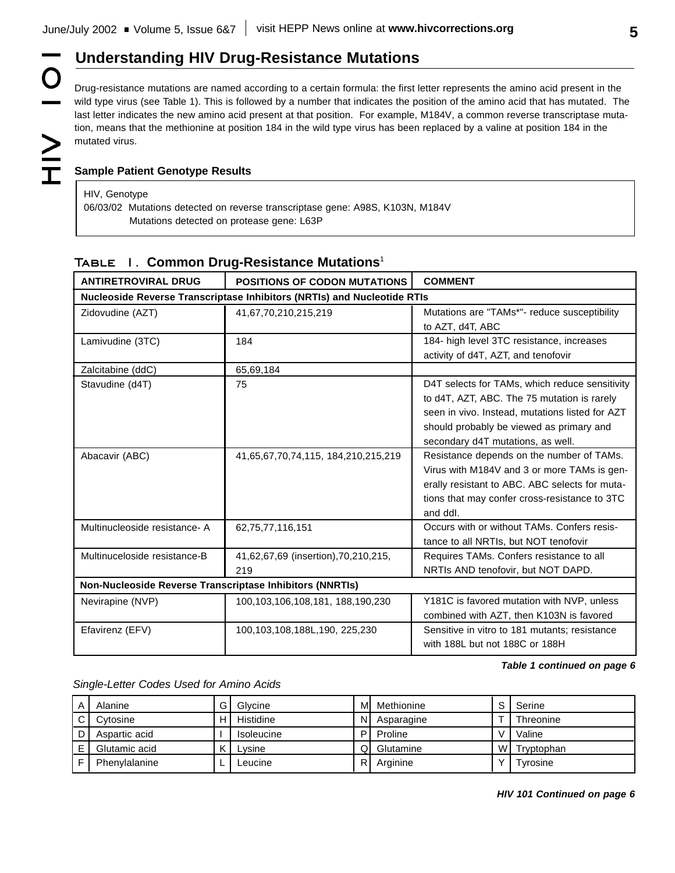# **Understanding HIV Drug-Resistance Mutations**

Drug-resistance mutations are named according to a certain formula: the first letter represents the amino acid present in the wild type virus (see Table 1). This is followed by a number that indicates the position of the amino acid that has mutated. The last letter indicates the new amino acid present at that position. For example, M184V, a common reverse transcriptase mutation, means that the methionine at position 184 in the wild type virus has been replaced by a valine at position 184 in the mutated virus.

O

## **Sample Patient Genotype Results**

HIV, Genotype 06/03/02 Mutations detected on reverse transcriptase gene: A98S, K103N, M184V Mutations detected on protease gene: L63P

| <b>ANTIRETROVIRAL DRUG</b>                                              | <b>POSITIONS OF CODON MUTATIONS</b> | <b>COMMENT</b>                                  |  |  |  |
|-------------------------------------------------------------------------|-------------------------------------|-------------------------------------------------|--|--|--|
| Nucleoside Reverse Transcriptase Inhibitors (NRTIs) and Nucleotide RTIs |                                     |                                                 |  |  |  |
| Zidovudine (AZT)                                                        | 41,67,70,210,215,219                | Mutations are "TAMs*"- reduce susceptibility    |  |  |  |
|                                                                         |                                     | to AZT, d4T, ABC                                |  |  |  |
| Lamivudine (3TC)                                                        | 184                                 | 184- high level 3TC resistance, increases       |  |  |  |
|                                                                         |                                     | activity of d4T, AZT, and tenofovir             |  |  |  |
| Zalcitabine (ddC)                                                       | 65,69,184                           |                                                 |  |  |  |
| Stavudine (d4T)                                                         | 75                                  | D4T selects for TAMs, which reduce sensitivity  |  |  |  |
|                                                                         |                                     | to d4T, AZT, ABC. The 75 mutation is rarely     |  |  |  |
|                                                                         |                                     | seen in vivo. Instead, mutations listed for AZT |  |  |  |
|                                                                         |                                     | should probably be viewed as primary and        |  |  |  |
|                                                                         |                                     | secondary d4T mutations, as well.               |  |  |  |
| Abacavir (ABC)                                                          | 41,65,67,70,74,115, 184,210,215,219 | Resistance depends on the number of TAMs.       |  |  |  |
|                                                                         |                                     | Virus with M184V and 3 or more TAMs is gen-     |  |  |  |
|                                                                         |                                     | erally resistant to ABC. ABC selects for muta-  |  |  |  |
|                                                                         |                                     | tions that may confer cross-resistance to 3TC   |  |  |  |
|                                                                         |                                     | and ddl.                                        |  |  |  |
| Multinucleoside resistance- A                                           | 62,75,77,116,151                    | Occurs with or without TAMs. Confers resis-     |  |  |  |
|                                                                         |                                     | tance to all NRTIs, but NOT tenofovir           |  |  |  |
| Multinuceloside resistance-B                                            | 41,62,67,69 (insertion),70,210,215, | Requires TAMs. Confers resistance to all        |  |  |  |
|                                                                         | 219                                 | NRTIs AND tenofovir, but NOT DAPD.              |  |  |  |
| Non-Nucleoside Reverse Transcriptase Inhibitors (NNRTIs)                |                                     |                                                 |  |  |  |
| Nevirapine (NVP)                                                        | 100,103,106,108,181, 188,190,230    | Y181C is favored mutation with NVP, unless      |  |  |  |
|                                                                         |                                     | combined with AZT, then K103N is favored        |  |  |  |
| Efavirenz (EFV)                                                         | 100,103,108,188L,190, 225,230       | Sensitive in vitro to 181 mutants; resistance   |  |  |  |
|                                                                         |                                     | with 188L but not 188C or 188H                  |  |  |  |

## **Table 1. Common Drug-Resistance Mutations** 1

*Table 1 continued on page 6*

*Single-Letter Codes Used for Amino Acids*

| Α  | Alanine       | G.  | Glycine           | M  | Methionine |   | Serine           |
|----|---------------|-----|-------------------|----|------------|---|------------------|
| C. | Cytosine      | H I | <b>Histidine</b>  | N  | Asparagine |   | <b>Threonine</b> |
| D  | Aspartic acid |     | <b>Isoleucine</b> | D  | Proline    |   | Valine           |
| E  | Glutamic acid | K.  | Lvsine            | QI | Glutamine  | W | Tryptophan       |
|    | Phenylalanine |     | -eucine           | R. | Arginine   |   | Tyrosine         |

*HIV 101 Continued on page 6*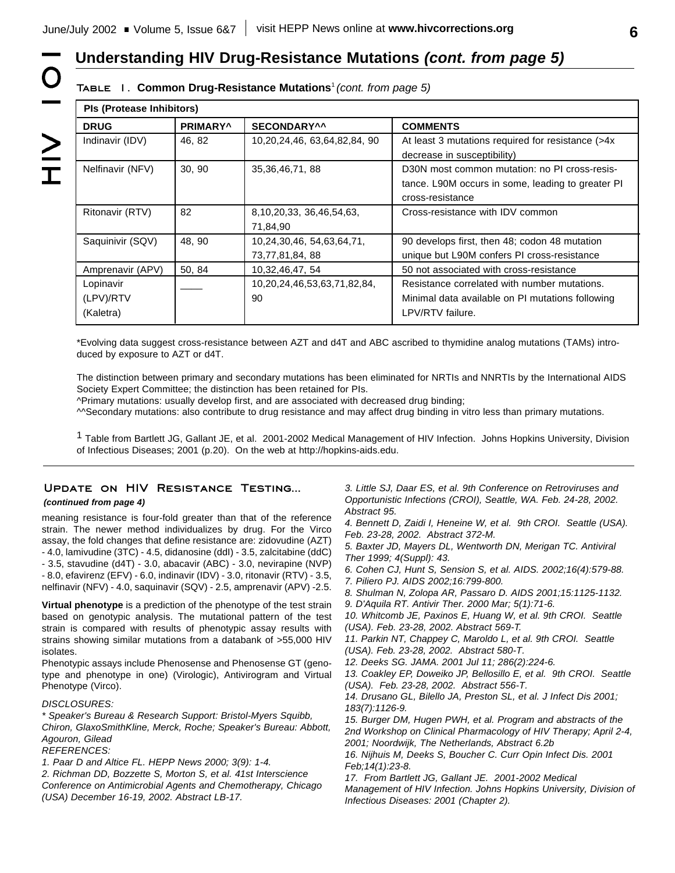# **Understanding HIV Drug-Resistance Mutations** *(cont. from page 5)*

## **Table 1. Common Drug-Resistance Mutations** <sup>1</sup>*(cont. from page 5)*

| <b>PIs (Protease Inhibitors)</b>    |                      |                                             |                                                                                                                        |  |
|-------------------------------------|----------------------|---------------------------------------------|------------------------------------------------------------------------------------------------------------------------|--|
| <b>DRUG</b>                         | PRIMARY <sup>^</sup> | SECONDARY^^                                 | <b>COMMENTS</b>                                                                                                        |  |
| Indinavir (IDV)                     | 46, 82               | 10,20,24,46, 63,64,82,84, 90                | At least 3 mutations required for resistance (>4x<br>decrease in susceptibility)                                       |  |
| Nelfinavir (NFV)                    | 30, 90               | 35, 36, 46, 71, 88                          | D30N most common mutation: no PI cross-resis-<br>tance. L90M occurs in some, leading to greater PI<br>cross-resistance |  |
| Ritonavir (RTV)                     | 82                   | 8,10,20,33, 36,46,54,63,<br>71,84,90        | Cross-resistance with IDV common                                                                                       |  |
| Saquinivir (SQV)                    | 48, 90               | 10,24,30,46, 54,63,64,71,<br>73,77,81,84,88 | 90 develops first, then 48; codon 48 mutation<br>unique but L90M confers PI cross-resistance                           |  |
| Amprenavir (APV)                    | 50.84                | 10,32,46,47,54                              | 50 not associated with cross-resistance                                                                                |  |
| Lopinavir<br>(LPV)/RTV<br>(Kaletra) |                      | 10,20,24,46,53,63,71,82,84,<br>90           | Resistance correlated with number mutations.<br>Minimal data available on PI mutations following<br>LPV/RTV failure.   |  |

\*Evolving data suggest cross-resistance between AZT and d4T and ABC ascribed to thymidine analog mutations (TAMs) introduced by exposure to AZT or d4T.

The distinction between primary and secondary mutations has been eliminated for NRTIs and NNRTIs by the International AIDS Society Expert Committee; the distinction has been retained for PIs.

^Primary mutations: usually develop first, and are associated with decreased drug binding;

^^Secondary mutations: also contribute to drug resistance and may affect drug binding in vitro less than primary mutations.

<sup>1</sup> Table from Bartlett JG, Gallant JE, et al. 2001-2002 Medical Management of HIV Infection. Johns Hopkins University, Division of Infectious Diseases; 2001 (p.20). On the web at http://hopkins-aids.edu.

### **Update on HIV Resistance Testing...**

### *(continued from page 4)*

meaning resistance is four-fold greater than that of the reference strain. The newer method individualizes by drug. For the Virco assay, the fold changes that define resistance are: zidovudine (AZT) - 4.0, lamivudine (3TC) - 4.5, didanosine (ddI) - 3.5, zalcitabine (ddC) - 3.5, stavudine (d4T) - 3.0, abacavir (ABC) - 3.0, nevirapine (NVP) - 8.0, efavirenz (EFV) - 6.0, indinavir (IDV) - 3.0, ritonavir (RTV) - 3.5, nelfinavir (NFV) - 4.0, saquinavir (SQV) - 2.5, amprenavir (APV) -2.5.

**Virtual phenotype** is a prediction of the phenotype of the test strain based on genotypic analysis. The mutational pattern of the test strain is compared with results of phenotypic assay results with strains showing similar mutations from a databank of >55,000 HIV isolates.

Phenotypic assays include Phenosense and Phenosense GT (genotype and phenotype in one) (Virologic), Antivirogram and Virtual Phenotype (Virco).

### *DISCLOSURES:*

*\* Speaker's Bureau & Research Support: Bristol-Myers Squibb, Chiron, GlaxoSmithKline, Merck, Roche; Speaker's Bureau: Abbott, Agouron, Gilead*

*REFERENCES:*

*1. Paar D and Altice FL. HEPP News 2000; 3(9): 1-4.*

*2. Richman DD, Bozzette S, Morton S, et al. 41st Interscience Conference on Antimicrobial Agents and Chemotherapy, Chicago (USA) December 16-19, 2002. Abstract LB-17.*

*3. Little SJ, Daar ES, et al. 9th Conference on Retroviruses and Opportunistic Infections (CROI), Seattle, WA. Feb. 24-28, 2002. Abstract 95.*

*4. Bennett D, Zaidi I, Heneine W, et al. 9th CROI. Seattle (USA). Feb. 23-28, 2002. Abstract 372-M.*

*5. Baxter JD, Mayers DL, Wentworth DN, Merigan TC. Antiviral Ther 1999; 4(Suppl): 43.*

*6. Cohen CJ, Hunt S, Sension S, et al. AIDS. 2002;16(4):579-88. 7. Piliero PJ. AIDS 2002;16:799-800.*

*8. Shulman N, Zolopa AR, Passaro D. AIDS 2001;15:1125-1132.*

*9. D'Aquila RT. Antivir Ther. 2000 Mar; 5(1):71-6.*

*10. Whitcomb JE, Paxinos E, Huang W, et al. 9th CROI. Seattle (USA). Feb. 23-28, 2002. Abstract 569-T.*

*11. Parkin NT, Chappey C, Maroldo L, et al. 9th CROI. Seattle (USA). Feb. 23-28, 2002. Abstract 580-T.*

*12. Deeks SG. JAMA. 2001 Jul 11; 286(2):224-6.*

*13. Coakley EP, Doweiko JP, Bellosillo E, et al. 9th CROI. Seattle (USA). Feb. 23-28, 2002. Abstract 556-T.*

*14. Drusano GL, Bilello JA, Preston SL, et al. J Infect Dis 2001; 183(7):1126-9.*

*15. Burger DM, Hugen PWH, et al. Program and abstracts of the 2nd Workshop on Clinical Pharmacology of HIV Therapy; April 2-4, 2001; Noordwijk, The Netherlands, Abstract 6.2b*

*16. Nijhuis M, Deeks S, Boucher C. Curr Opin Infect Dis. 2001 Feb;14(1):23-8.*

*17. From Bartlett JG, Gallant JE. 2001-2002 Medical Management of HIV Infection. Johns Hopkins University, Division of Infectious Diseases: 2001 (Chapter 2).*

 $\geq$ 

O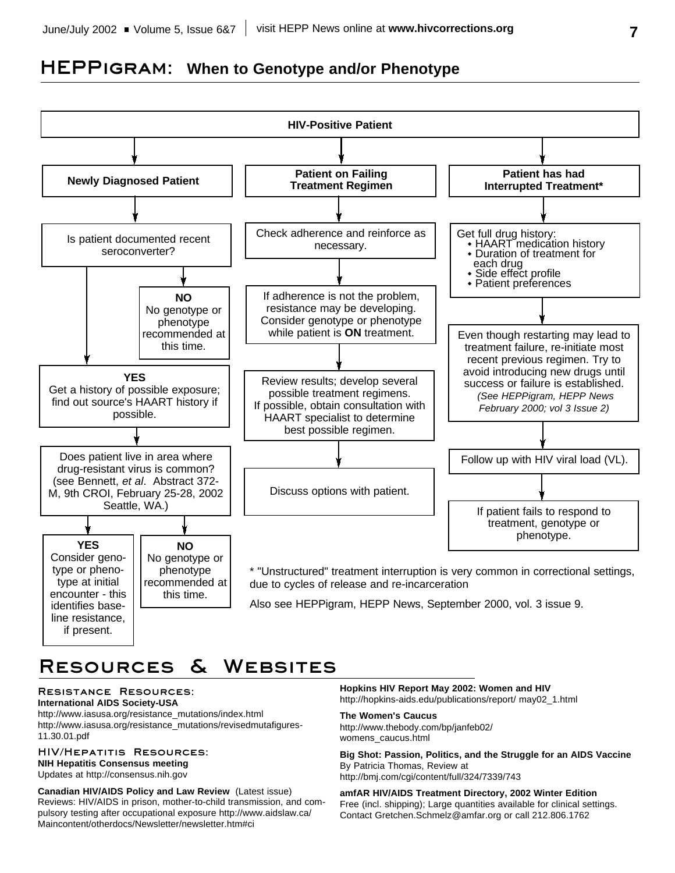# **HEPPigram: When to Genotype and/or Phenotype**



# **Resources & Websites**

### **Resistance Resources: International AIDS Society-USA**

http://www.iasusa.org/resistance\_mutations/index.html http://www.iasusa.org/resistance\_mutations/revisedmutafigures-11.30.01.pdf

## **HIV/Hepatitis Resources: NIH Hepatitis Consensus meeting**

Updates at http://consensus.nih.gov

**Canadian HIV/AIDS Policy and Law Review** (Latest issue) Reviews: HIV/AIDS in prison, mother-to-child transmission, and compulsory testing after occupational exposure http://www.aidslaw.ca/ Maincontent/otherdocs/Newsletter/newsletter.htm#ci

**Hopkins HIV Report May 2002: Women and HIV** http://hopkins-aids.edu/publications/report/ may02\_1.html

### **The Women's Caucus**

http://www.thebody.com/bp/janfeb02/ womens\_caucus.html

**Big Shot: Passion, Politics, and the Struggle for an AIDS Vaccine** By Patricia Thomas, Review at http://bmj.com/cgi/content/full/324/7339/743

**amfAR HIV/AIDS Treatment Directory, 2002 Winter Edition** Free (incl. shipping); Large quantities available for clinical settings. Contact Gretchen.Schmelz@amfar.org or call 212.806.1762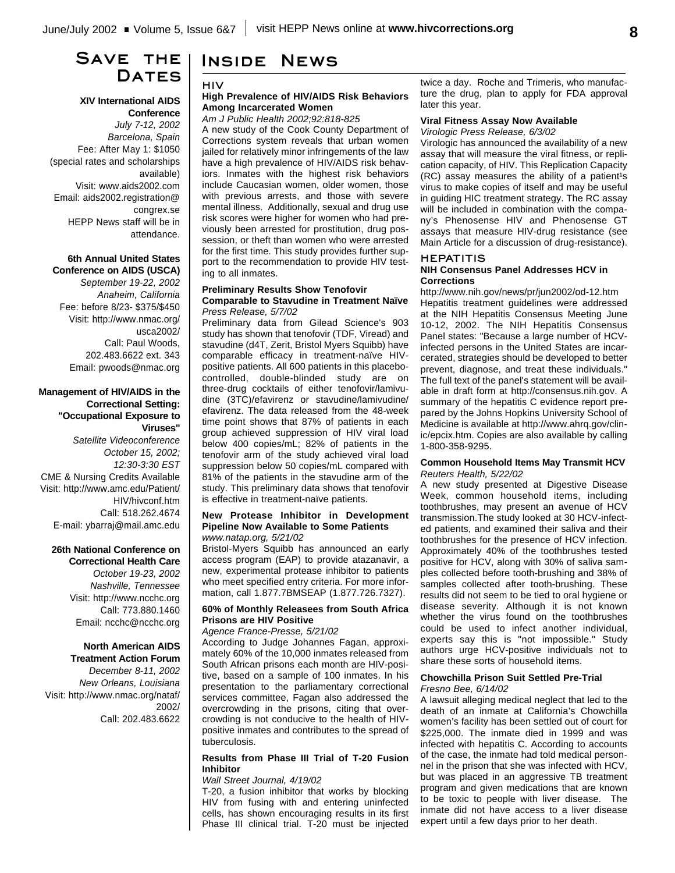# **Save the** DATES

### **XIV International AIDS Conference**

*July 7-12, 2002 Barcelona, Spain* Fee: After May 1: \$1050 (special rates and scholarships available) Visit: www.aids2002.com Email: aids2002.registration@ congrex.se HEPP News staff will be in attendance.

### **6th Annual United States Conference on AIDS (USCA)**

*September 19-22, 2002 Anaheim, California* Fee: before 8/23- \$375/\$450 Visit: http://www.nmac.org/ usca2002/ Call: Paul Woods, 202.483.6622 ext. 343 Email: pwoods@nmac.org

### **Management of HIV/AIDS in the Correctional Setting: "Occupational Exposure to Viruses"**

*Satellite Videoconference October 15, 2002; 12:30-3:30 EST* CME & Nursing Credits Available Visit: http://www.amc.edu/Patient/ HIV/hivconf.htm Call: 518.262.4674 E-mail: ybarraj@mail.amc.edu

## **26th National Conference on**

**Correctional Health Care** *October 19-23, 2002 Nashville, Tennessee* Visit: http://www.ncchc.org Call: 773.880.1460 Email: ncchc@ncchc.org

### **North American AIDS Treatment Action Forum**

*December 8-11, 2002 New Orleans, Louisiana* Visit: http://www.nmac.org/nataf/ 2002/ Call: 202.483.6622

# **Inside News**

### **HIV**

### **High Prevalence of HIV/AIDS Risk Behaviors Among Incarcerated Women**

*Am J Public Health 2002;92:818-825* A new study of the Cook County Department of Corrections system reveals that urban women jailed for relatively minor infringements of the law have a high prevalence of HIV/AIDS risk behaviors. Inmates with the highest risk behaviors include Caucasian women, older women, those with previous arrests, and those with severe mental illness. Additionally, sexual and drug use risk scores were higher for women who had previously been arrested for prostitution, drug possession, or theft than women who were arrested for the first time. This study provides further support to the recommendation to provide HIV testing to all inmates.

### **Preliminary Results Show Tenofovir Comparable to Stavudine in Treatment Naïve** *Press Release, 5/7/02*

Preliminary data from Gilead Science's 903 study has shown that tenofovir (TDF, Viread) and stavudine (d4T, Zerit, Bristol Myers Squibb) have comparable efficacy in treatment-naïve HIVpositive patients. All 600 patients in this placebocontrolled, double-blinded study are on three-drug cocktails of either tenofovir/lamivudine (3TC)/efavirenz or stavudine/lamivudine/ efavirenz. The data released from the 48-week time point shows that 87% of patients in each group achieved suppression of HIV viral load below 400 copies/mL; 82% of patients in the tenofovir arm of the study achieved viral load suppression below 50 copies/mL compared with 81% of the patients in the stavudine arm of the study. This preliminary data shows that tenofovir is effective in treatment-naïve patients.

### **New Protease Inhibitor in Development Pipeline Now Available to Some Patients** *www.natap.org, 5/21/02*

Bristol-Myers Squibb has announced an early access program (EAP) to provide atazanavir, a new, experimental protease inhibitor to patients who meet specified entry criteria. For more information, call 1.877.7BMSEAP (1.877.726.7327).

### **60% of Monthly Releasees from South Africa Prisons are HIV Positive**

### *Agence France-Presse, 5/21/02*

According to Judge Johannes Fagan, approximately 60% of the 10,000 inmates released from South African prisons each month are HIV-positive, based on a sample of 100 inmates. In his presentation to the parliamentary correctional services committee, Fagan also addressed the overcrowding in the prisons, citing that overcrowding is not conducive to the health of HIVpositive inmates and contributes to the spread of tuberculosis.

### **Results from Phase III Trial of T-20 Fusion Inhibitor**

### *Wall Street Journal, 4/19/02*

T-20, a fusion inhibitor that works by blocking HIV from fusing with and entering uninfected cells, has shown encouraging results in its first Phase III clinical trial. T-20 must be injected twice a day. Roche and Trimeris, who manufacture the drug, plan to apply for FDA approval later this year.

### **Viral Fitness Assay Now Available**

### *Virologic Press Release, 6/3/02*

Virologic has announced the availability of a new assay that will measure the viral fitness, or replication capacity, of HIV. This Replication Capacity  $(RC)$  assay measures the ability of a patient<sup>1</sup>s virus to make copies of itself and may be useful in guiding HIC treatment strategy. The RC assay will be included in combination with the company's Phenosense HIV and Phenosense GT assays that measure HIV-drug resistance (see Main Article for a discussion of drug-resistance).

### **HEPATITIS**

### **NIH Consensus Panel Addresses HCV in Corrections**

http://www.nih.gov/news/pr/jun2002/od-12.htm Hepatitis treatment guidelines were addressed at the NIH Hepatitis Consensus Meeting June 10-12, 2002. The NIH Hepatitis Consensus Panel states: "Because a large number of HCVinfected persons in the United States are incarcerated, strategies should be developed to better prevent, diagnose, and treat these individuals." The full text of the panel's statement will be available in draft form at http://consensus.nih.gov. A summary of the hepatitis C evidence report prepared by the Johns Hopkins University School of Medicine is available at http://www.ahrq.gov/clinic/epcix.htm. Copies are also available by calling 1-800-358-9295.

### **Common Household Items May Transmit HCV** *Reuters Health, 5/22/02*

A new study presented at Digestive Disease Week, common household items, including toothbrushes, may present an avenue of HCV transmission.The study looked at 30 HCV-infected patients, and examined their saliva and their toothbrushes for the presence of HCV infection. Approximately 40% of the toothbrushes tested positive for HCV, along with 30% of saliva samples collected before tooth-brushing and 38% of samples collected after tooth-brushing. These results did not seem to be tied to oral hygiene or disease severity. Although it is not known whether the virus found on the toothbrushes could be used to infect another individual, experts say this is "not impossible." Study authors urge HCV-positive individuals not to share these sorts of household items.

### **Chowchilla Prison Suit Settled Pre-Trial** *Fresno Bee, 6/14/02*

A lawsuit alleging medical neglect that led to the death of an inmate at California's Chowchilla women's facility has been settled out of court for \$225,000. The inmate died in 1999 and was infected with hepatitis C. According to accounts of the case, the inmate had told medical personnel in the prison that she was infected with HCV, but was placed in an aggressive TB treatment program and given medications that are known to be toxic to people with liver disease. The inmate did not have access to a liver disease expert until a few days prior to her death.